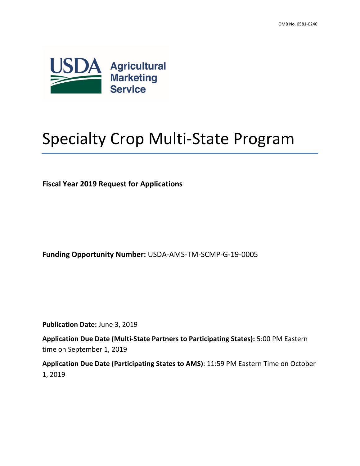

# Specialty Crop Multi-State Program

**Fiscal Year 2019 Request for Applications**

**Funding Opportunity Number:** USDA-AMS-TM-SCMP-G-19-0005

**Publication Date:** June 3, 2019

**Application Due Date (Multi-State Partners to Participating States):** 5:00 PM Eastern time on September 1, 2019

**Application Due Date (Participating States to AMS)**: 11:59 PM Eastern Time on October 1, 2019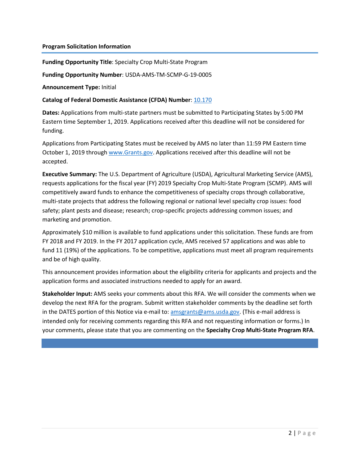#### **Program Solicitation Information**

**Funding Opportunity Title**: Specialty Crop Multi-State Program

**Funding Opportunity Number**: USDA-AMS-TM-SCMP-G-19-0005

**Announcement Type:** Initial

#### **Catalog of Federal Domestic Assistance (CFDA) Number**[: 10.170](https://beta.sam.gov/fal/d122b75dfa694a43ad6ece34d5eb8ad3/view?keywords=10.170&sort=-relevance&index=cfda&is_active=true&page=1)

**Dates:** Applications from multi-state partners must be submitted to Participating States by 5:00 PM Eastern time September 1, 2019. Applications received after this deadline will not be considered for funding.

Applications from Participating States must be received by AMS no later than 11:59 PM Eastern time October 1, 2019 through [www.Grants.gov.](http://www.grants.gov/) Applications received after this deadline will not be accepted.

**Executive Summary:** The U.S. Department of Agriculture (USDA), Agricultural Marketing Service (AMS), requests applications for the fiscal year (FY) 2019 Specialty Crop Multi-State Program (SCMP). AMS will competitively award funds to enhance the competitiveness of specialty crops through collaborative, multi-state projects that address the following regional or national level specialty crop issues: food safety; plant pests and disease; research; crop-specific projects addressing common issues; and marketing and promotion.

Approximately \$10 million is available to fund applications under this solicitation. These funds are from FY 2018 and FY 2019. In the FY 2017 application cycle, AMS received 57 applications and was able to fund 11 (19%) of the applications. To be competitive, applications must meet all program requirements and be of high quality.

This announcement provides information about the eligibility criteria for applicants and projects and the application forms and associated instructions needed to apply for an award.

**Stakeholder Input:** AMS seeks your comments about this RFA. We will consider the comments when we develop the next RFA for the program. Submit written stakeholder comments by the deadline set forth in the DATES portion of this Notice via e-mail to: [amsgrants@ams.usda.gov.](mailto:amsgrants@ams.usda.gov) (This e-mail address is intended only for receiving comments regarding this RFA and not requesting information or forms.) In your comments, please state that you are commenting on the **Specialty Crop Multi-State Program RFA**.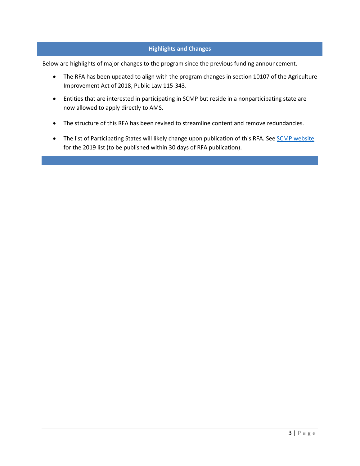## **Highlights and Changes**

Below are highlights of major changes to the program since the previous funding announcement.

- The RFA has been updated to align with the program changes in section 10107 of the Agriculture Improvement Act of 2018, Public Law 115-343.
- Entities that are interested in participating in SCMP but reside in a nonparticipating state are now allowed to apply directly to AMS.
- The structure of this RFA has been revised to streamline content and remove redundancies.
- The list of Participating States will likely change upon publication of this RFA. See **SCMP** website for the 2019 list (to be published within 30 days of RFA publication).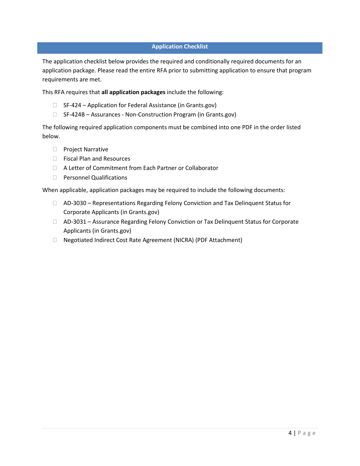## **Application Checklist**

The application checklist below provides the required and conditionally required documents for an application package. Please read the entire RFA prior to submitting application to ensure that program requirements are met.

This RFA requires that **all application packages** include the following:

- □ SF-424 Application for Federal Assistance (in Grants.gov)
- □ SF-424B Assurances Non-Construction Program (in Grants.gov)

The following required application components must be combined into one PDF in the order listed below.

- **Project Narrative**
- □ Fiscal Plan and Resources
- A Letter of Commitment from Each Partner or Collaborator
- □ Personnel Qualifications

When applicable, application packages may be required to include the following documents:

- $\Box$  AD-3030 Representations Regarding Felony Conviction and Tax Delinquent Status for Corporate Applicants (in Grants.gov)
- □ AD-3031 Assurance Regarding Felony Conviction or Tax Delinquent Status for Corporate Applicants (in Grants.gov)
- Negotiated Indirect Cost Rate Agreement (NICRA) (PDF Attachment)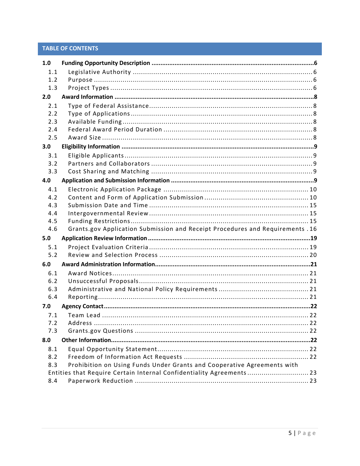# **TABLE OF CONTENTS**

| 1.0        |                                                                                |  |
|------------|--------------------------------------------------------------------------------|--|
| 1.1        |                                                                                |  |
| 1.2        |                                                                                |  |
| 1.3        |                                                                                |  |
| 2.0        |                                                                                |  |
| 2.1        |                                                                                |  |
| 2.2        |                                                                                |  |
| 2.3        |                                                                                |  |
| 2.4        |                                                                                |  |
| 2.5        |                                                                                |  |
| 3.0        |                                                                                |  |
| 3.1        |                                                                                |  |
| 3.2        |                                                                                |  |
| 3.3        |                                                                                |  |
| 4.0        |                                                                                |  |
| 4.1        |                                                                                |  |
| 4.2        |                                                                                |  |
| 4.3        |                                                                                |  |
| 4.4        |                                                                                |  |
| 4.5        |                                                                                |  |
| 4.6        | Grants.gov Application Submission and Receipt Procedures and Requirements . 16 |  |
|            |                                                                                |  |
| 5.0        |                                                                                |  |
| 5.1        |                                                                                |  |
| 5.2        |                                                                                |  |
| 6.0        |                                                                                |  |
| 6.1        |                                                                                |  |
| 6.2        |                                                                                |  |
| 6.3        |                                                                                |  |
| 6.4        |                                                                                |  |
| 7.0        |                                                                                |  |
| 7.1        |                                                                                |  |
| 7.2        |                                                                                |  |
| 7.3        |                                                                                |  |
| 8.0        |                                                                                |  |
|            |                                                                                |  |
| 8.1<br>8.2 |                                                                                |  |
| 8.3        |                                                                                |  |
|            | Prohibition on Using Funds Under Grants and Cooperative Agreements with        |  |
| 8.4        | Entities that Require Certain Internal Confidentiality Agreements 23           |  |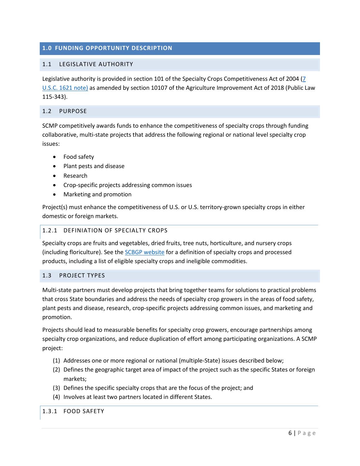## <span id="page-5-0"></span>**1.0 FUNDING OPPORTUNITY DESCRIPTION**

## <span id="page-5-1"></span>1.1 LEGISLATIVE AUTHORITY

Legislative authority is provided in section 101 of the Specialty Crops Competitiveness Act of 2004 [\(7](http://uscode.house.gov/view.xhtml?req=(title:7%20section:1621%20edition:prelim)%20OR%20(granuleid:USC-prelim-title7-section1621)&f=treesort&edition=prelim&num=0&jumpTo=true)  [U.S.C. 1621 note\)](http://uscode.house.gov/view.xhtml?req=(title:7%20section:1621%20edition:prelim)%20OR%20(granuleid:USC-prelim-title7-section1621)&f=treesort&edition=prelim&num=0&jumpTo=true) as amended by section 10107 of the Agriculture Improvement Act of 2018 (Public Law 115-343).

#### <span id="page-5-2"></span>1.2 PURPOSE

SCMP competitively awards funds to enhance the competitiveness of specialty crops through funding collaborative, multi-state projects that address the following regional or national level specialty crop issues:

- Food safety
- Plant pests and disease
- Research
- Crop-specific projects addressing common issues
- Marketing and promotion

<span id="page-5-4"></span>Project(s) must enhance the competitiveness of U.S. or U.S. territory-grown specialty crops in either domestic or foreign markets.

### 1.2.1 DEFINIATION OF SPECIALTY CROPS

Specialty crops are fruits and vegetables, dried fruits, tree nuts, horticulture, and nursery crops (including floriculture). See th[e SCBGP website](http://www.ams.usda.gov/services/grants/scbgp/specialty-crop) for a definition of specialty crops and processed products, including a list of eligible specialty crops and ineligible commodities.

## <span id="page-5-3"></span>1.3 PROJECT TYPES

Multi-state partners must develop projects that bring together teams for solutions to practical problems that cross State boundaries and address the needs of specialty crop growers in the areas of food safety, plant pests and disease, research, crop-specific projects addressing common issues, and marketing and promotion.

Projects should lead to measurable benefits for specialty crop growers, encourage partnerships among specialty crop organizations, and reduce duplication of effort among participating organizations. A SCMP project:

- (1) Addresses one or more regional or national (multiple-State) issues described below;
- (2) Defines the geographic target area of impact of the project such as the specific States or foreign markets;
- (3) Defines the specific specialty crops that are the focus of the project; and
- (4) Involves at least two partners located in different States.

1.3.1 FOOD SAFETY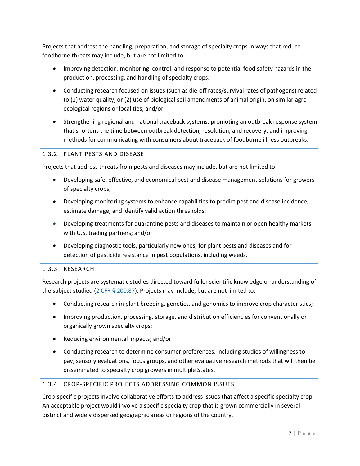Projects that address the handling, preparation, and storage of specialty crops in ways that reduce foodborne threats may include, but are not limited to:

- Improving detection, monitoring, control, and response to potential food safety hazards in the production, processing, and handling of specialty crops;
- Conducting research focused on issues (such as die-off rates/survival rates of pathogens) related to (1) water quality; or (2) use of biological soil amendments of animal origin, on similar agroecological regions or localities; and/or
- Strengthening regional and national traceback systems; promoting an outbreak response system that shortens the time between outbreak detection, resolution, and recovery; and improving methods for communicating with consumers about traceback of foodborne illness outbreaks.

# 1.3.2 PLANT PESTS AND DISEASE

Projects that address threats from pests and diseases may include, but are not limited to:

- Developing safe, effective, and economical pest and disease management solutions for growers of specialty crops;
- Developing monitoring systems to enhance capabilities to predict pest and disease incidence, estimate damage, and identify valid action thresholds;
- Developing treatments for quarantine pests and diseases to maintain or open healthy markets with U.S. trading partners; and/or
- Developing diagnostic tools, particularly new ones, for plant pests and diseases and for detection of pesticide resistance in pest populations, including weeds.

## 1.3.3 RESEARCH

Research projects are systematic studies directed toward fuller scientific knowledge or understanding of the subject studied ( $2$  CFR  $\S$  200.87). Projects may include, but are not limited to:

- Conducting research in plant breeding, genetics, and genomics to improve crop characteristics;
- Improving production, processing, storage, and distribution efficiencies for conventionally or organically grown specialty crops;
- Reducing environmental impacts; and/or
- Conducting research to determine consumer preferences, including studies of willingness to pay, sensory evaluations, focus groups, and other evaluative research methods that will then be disseminated to specialty crop growers in multiple States.

### 1.3.4 CROP-SPECIFIC PROJECTS ADDRESSING COMMON ISSUES

Crop-specific projects involve collaborative efforts to address issues that affect a specific specialty crop. An acceptable project would involve a specific specialty crop that is grown commercially in several distinct and widely dispersed geographic areas or regions of the country.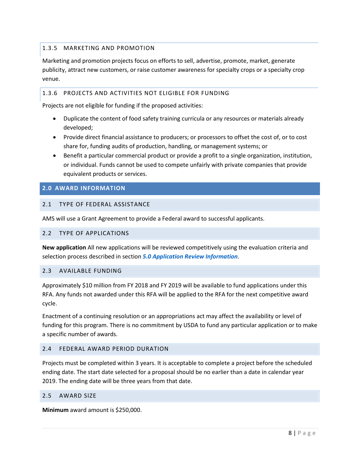# 1.3.5 MARKETING AND PROMOTION

Marketing and promotion projects focus on efforts to sell, advertise, promote, market, generate publicity, attract new customers, or raise customer awareness for specialty crops or a specialty crop venue.

## 1.3.6 PROJECTS AND ACTIVITIES NOT ELIGIBLE FOR FUNDING

Projects are not eligible for funding if the proposed activities:

- Duplicate the content of food safety training curricula or any resources or materials already developed;
- Provide direct financial assistance to producers; or processors to offset the cost of, or to cost share for, funding audits of production, handling, or management systems; or
- Benefit a particular commercial product or provide a profit to a single organization, institution, or individual. Funds cannot be used to compete unfairly with private companies that provide equivalent products or services.

## <span id="page-7-0"></span>**2.0 AWARD INFORMATION**

## <span id="page-7-1"></span>2.1 TYPE OF FEDERAL ASSISTANCE

AMS will use a Grant Agreement to provide a Federal award to successful applicants.

### <span id="page-7-2"></span>2.2 TYPE OF APPLICATIONS

**New application** All new applications will be reviewed competitively using the evaluation criteria and selection process described in section *[5.0 Application Review Information](#page-18-0)*.

### <span id="page-7-3"></span>2.3 AVAILABLE FUNDING

Approximately \$10 million from FY 2018 and FY 2019 will be available to fund applications under this RFA. Any funds not awarded under this RFA will be applied to the RFA for the next competitive award cycle.

Enactment of a continuing resolution or an appropriations act may affect the availability or level of funding for this program. There is no commitment by USDA to fund any particular application or to make a specific number of awards.

### <span id="page-7-4"></span>2.4 FEDERAL AWARD PERIOD DURATION

Projects must be completed within 3 years. It is acceptable to complete a project before the scheduled ending date. The start date selected for a proposal should be no earlier than a date in calendar year 2019. The ending date will be three years from that date.

#### <span id="page-7-5"></span>2.5 AWARD SIZE

**Minimum** award amount is \$250,000.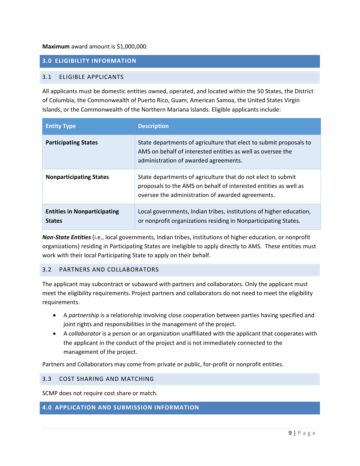### **Maximum** award amount is \$1,000,000.

## <span id="page-8-0"></span>**3.0 ELIGIBILITY INFORMATION**

## <span id="page-8-1"></span>3.1 ELIGIBLE APPLICANTS

All applicants must be domestic entities owned, operated, and located within the 50 States, the District of Columbia, the Commonwealth of Puerto Rico, Guam, American Samoa, the United States Virgin Islands, or the Commonwealth of the Northern Mariana Islands. Eligible applicants include:

| <b>Entity Type</b>                                   | <b>Description</b>                                                                                                                                                                    |
|------------------------------------------------------|---------------------------------------------------------------------------------------------------------------------------------------------------------------------------------------|
| <b>Participating States</b>                          | State departments of agriculture that elect to submit proposals to<br>AMS on behalf of interested entities as well as oversee the<br>administration of awarded agreements.            |
| <b>Nonparticipating States</b>                       | State departments of agriculture that do not elect to submit<br>proposals to the AMS on behalf of interested entities as well as<br>oversee the administration of awarded agreements. |
| <b>Entities in Nonparticipating</b><br><b>States</b> | Local governments, Indian tribes, institutions of higher education,<br>or nonprofit organizations residing in Nonparticipating States.                                                |

<span id="page-8-2"></span>*Non-State Entities* (i.e., local governments, Indian tribes, institutions of higher education, or nonprofit organizations) residing in Participating States are ineligible to apply directly to AMS. These entities must work with their local Participating State to apply on their behalf.

### 3.2 PARTNERS AND COLLABORATORS

The applicant may subcontract or subaward with partners and collaborators. Only the applicant must meet the eligibility requirements. Project partners and collaborators do not need to meet the eligibility requirements.

- A *partnership* is a relationship involving close cooperation between parties having specified and joint rights and responsibilities in the management of the project.
- A *collaborator* is a person or an organization unaffiliated with the applicant that cooperates with the applicant in the conduct of the project and is not immediately connected to the management of the project.

Partners and Collaborators may come from private or public, for-profit or nonprofit entities.

#### <span id="page-8-3"></span>3.3 COST SHARING AND MATCHING

SCMP does not require cost share or match.

## <span id="page-8-4"></span>**4.0 APPLICATION AND SUBMISSION INFORMATION**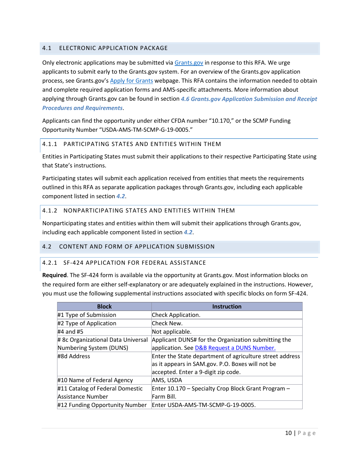## <span id="page-9-0"></span>4.1 ELECTRONIC APPLICATION PACKAGE

Only electronic applications may be submitted via **[Grants.gov](http://www.grants.gov/)** in response to this RFA. We urge applicants to submit early to the Grants.gov system. For an overview of the Grants.gov application process, see Grants.gov's [Apply for Grants](http://www.grants.gov/web/grants/applicants/apply-for-grants.html) webpage. This RFA contains the information needed to obtain and complete required application forms and AMS-specific attachments. More information about applying through Grants.gov can be found in section *[4.6](#page-15-0) [Grants.gov Application Submission and Receipt](#page-15-0)  [Procedures and Requirements](#page-15-0)*.

Applicants can find the opportunity under either CFDA number "10.170," or the SCMP Funding Opportunity Number "USDA-AMS-TM-SCMP-G-19-0005."

## 4.1.1 PARTICIPATING STATES AND ENTITIES WITHIN THEM

Entities in Participating States must submit their applications to their respective Participating State using that State's instructions.

Participating states will submit each application received from entities that meets the requirements outlined in this RFA as separate application packages through Grants.gov, including each applicable component listed in section *[4.2](#page-9-1)*.

## 4.1.2 NONPARTICIPATING STATES AND ENTITIES WITHIN THEM

Nonparticipating states and entities within them will submit their applications through Grants.gov, including each applicable component listed in section *[4.2](#page-9-1)*.

### <span id="page-9-1"></span>4.2 CONTENT AND FORM OF APPLICATION SUBMISSION

### 4.2.1 SF-424 APPLICATION FOR FEDERAL ASSISTANCE

**Required**. The SF-424 form is available via the opportunity at Grants.gov. Most information blocks on the required form are either self-explanatory or are adequately explained in the instructions. However, you must use the following supplemental instructions associated with specific blocks on form SF-424.

| <b>Block</b>                       | <b>Instruction</b>                                       |
|------------------------------------|----------------------------------------------------------|
| #1 Type of Submission              | Check Application.                                       |
| #2 Type of Application             | Check New.                                               |
| $#4$ and $#5$                      | Not applicable.                                          |
| # 8c Organizational Data Universal | Applicant DUNS# for the Organization submitting the      |
| Numbering System (DUNS)            | application. See D&B Request a DUNS Number.              |
| #8d Address                        | Enter the State department of agriculture street address |
|                                    | as it appears in SAM.gov. P.O. Boxes will not be         |
|                                    | accepted. Enter a 9-digit zip code.                      |
| #10 Name of Federal Agency         | AMS, USDA                                                |
| #11 Catalog of Federal Domestic    | Enter 10.170 - Specialty Crop Block Grant Program -      |
| Assistance Number                  | Farm Bill.                                               |
| #12 Funding Opportunity Number     | Enter USDA-AMS-TM-SCMP-G-19-0005.                        |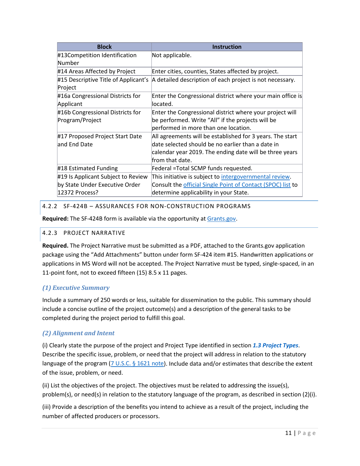| <b>Block</b>                                                         | <b>Instruction</b>                                                                                                                                                                           |
|----------------------------------------------------------------------|----------------------------------------------------------------------------------------------------------------------------------------------------------------------------------------------|
| #13Competition Identification<br>Number                              | Not applicable.                                                                                                                                                                              |
| #14 Areas Affected by Project                                        | Enter cities, counties, States affected by project.                                                                                                                                          |
| #15 Descriptive Title of Applicant's<br>Project                      | A detailed description of each project is not necessary.                                                                                                                                     |
| #16a Congressional Districts for<br>Applicant                        | Enter the Congressional district where your main office is<br>llocated.                                                                                                                      |
| #16b Congressional Districts for<br>Program/Project                  | Enter the Congressional district where your project will<br>be performed. Write "All" if the projects will be<br>performed in more than one location.                                        |
| #17 Proposed Project Start Date<br>and End Date                      | All agreements will be established for 3 years. The start<br>date selected should be no earlier than a date in<br>calendar year 2019. The ending date will be three years<br>from that date. |
| #18 Estimated Funding                                                | Federal = Total SCMP funds requested.                                                                                                                                                        |
| #19 Is Applicant Subject to Review<br>by State Under Executive Order | This initiative is subject to intergovernmental review.<br>Consult the official Single Point of Contact (SPOC) list to                                                                       |
| 12372 Process?                                                       | determine applicability in your State.                                                                                                                                                       |

# 4.2.2 SF-424B – ASSURANCES FOR NON-CONSTRUCTION PROGRAMS

**Required:** The SF-424B form is available via the opportunity a[t Grants.gov.](http://www.grants.gov/)

## 4.2.3 PROJECT NARRATIVE

**Required.** The Project Narrative must be submitted as a PDF, attached to the Grants.gov application package using the "Add Attachments" button under form SF-424 item #15. Handwritten applications or applications in MS Word will not be accepted. The Project Narrative must be typed, single-spaced, in an 11-point font, not to exceed fifteen (15) 8.5 x 11 pages.

# *(1) Executive Summary*

Include a summary of 250 words or less, suitable for dissemination to the public. This summary should include a concise outline of the project outcome(s) and a description of the general tasks to be completed during the project period to fulfill this goal.

# *(2) Alignment and Intent*

(i) Clearly state the purpose of the project and Project Type identified in section *[1.3 Project Types](#page-5-4)*. Describe the specific issue, problem, or need that the project will address in relation to the statutory language of the program  $(7 \text{ U.S.C. } \frac{61621 \text{ note}}{1}$ . Include data and/or estimates that describe the extent of the issue, problem, or need.

(ii) List the objectives of the project. The objectives must be related to addressing the issue(s), problem(s), or need(s) in relation to the statutory language of the program, as described in section (2)(i).

(iii) Provide a description of the benefits you intend to achieve as a result of the project, including the number of affected producers or processors.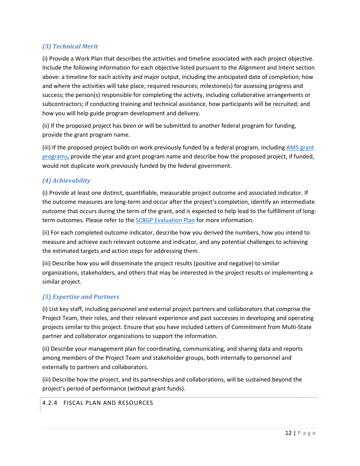# *(3) Technical Merit*

(i) Provide a Work Plan that describes the activities and timeline associated with each project objective. Include the following information for each objective listed pursuant to the Alignment and Intent section above: a timeline for each activity and major output, including the anticipated date of completion; how and where the activities will take place; required resources; milestone(s) for assessing progress and success; the person(s) responsible for completing the activity, including collaborative arrangements or subcontractors; if conducting training and technical assistance, how participants will be recruited; and how you will help guide program development and delivery.

(ii) If the proposed project has been or will be submitted to another federal program for funding, provide the grant program name.

(iii) If the proposed project builds on work previously funded by a federal program, including AMS grant [programs,](https://www.ams.usda.gov/services/grants) provide the year and grant program name and describe how the proposed project, if funded, would not duplicate work previously funded by the federal government.

## *(4) Achievability*

(i) Provide at least one distinct, quantifiable, measurable project outcome and associated indicator. If the outcome measures are long-term and occur after the project's completion, identify an intermediate outcome that occurs during the term of the grant, and is expected to help lead to the fulfillment of long-term outcomes. Please refer to the [SCBGP Evaluation Plan](http://www.ams.usda.gov/sites/default/files/media/SCBGP%20FY15%20PerformanceFINAL_10272015.pdf) for more information.

(ii) For each completed outcome indicator, describe how you derived the numbers, how you intend to measure and achieve each relevant outcome and indicator, and any potential challenges to achieving the estimated targets and action steps for addressing them.

(iii) Describe how you will disseminate the project results (positive and negative) to similar organizations, stakeholders, and others that may be interested in the project results or implementing a similar project.

## *(5) Expertise and Partners*

(i) List key staff, including personnel and external project partners and collaborators that comprise the Project Team, their roles, and their relevant experience and past successes in developing and operating projects similar to this project. Ensure that you have included Letters of Commitment from Multi-State partner and collaborator organizations to support the information.

(ii) Describe your management plan for coordinating, communicating, and sharing data and reports among members of the Project Team and stakeholder groups, both internally to personnel and externally to partners and collaborators.

(iii) Describe how the project, and its partnerships and collaborations, will be sustained beyond the project's period of performance (without grant funds).

## 4.2.4 FISCAL PLAN AND RESOURCES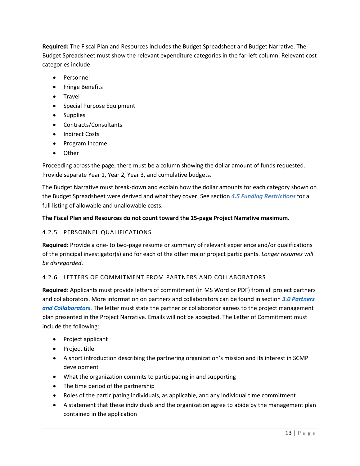**Required:** The Fiscal Plan and Resources includes the Budget Spreadsheet and Budget Narrative. The Budget Spreadsheet must show the relevant expenditure categories in the far-left column. Relevant cost categories include:

- Personnel
- Fringe Benefits
- Travel
- Special Purpose Equipment
- Supplies
- Contracts/Consultants
- Indirect Costs
- Program Income
- Other

Proceeding across the page, there must be a column showing the dollar amount of funds requested. Provide separate Year 1, Year 2, Year 3, and cumulative budgets.

The Budget Narrative must break-down and explain how the dollar amounts for each category shown on the Budget Spreadsheet were derived and what they cover. See section *[4.5](#page-14-2) [Funding Restrictions](#page-14-2)* for a full listing of allowable and unallowable costs.

## **The Fiscal Plan and Resources do not count toward the 15-page Project Narrative maximum.**

## 4.2.5 PERSONNEL QUALIFICATIONS

**Required:** Provide a one- to two-page resume or summary of relevant experience and/or qualifications of the principal investigator(s) and for each of the other major project participants. *Longer resumes will be disregarded*.

## 4.2.6 LETTERS OF COMMITMENT FROM PARTNERS AND COLLABORATORS

**Required**: Applicants must provide letters of commitment (in MS Word or PDF) from all project partners and collaborators. More information on partners and collaborators can be found in section *3[.0](#page-8-2) [Partners](#page-8-2)  [and Collaborators.](#page-8-2)* The letter must state the partner or collaborator agrees to the project management plan presented in the Project Narrative. Emails will not be accepted. The Letter of Commitment must include the following:

- Project applicant
- Project title
- A short introduction describing the partnering organization's mission and its interest in SCMP development
- What the organization commits to participating in and supporting
- The time period of the partnership
- Roles of the participating individuals, as applicable, and any individual time commitment
- A statement that these individuals and the organization agree to abide by the management plan contained in the application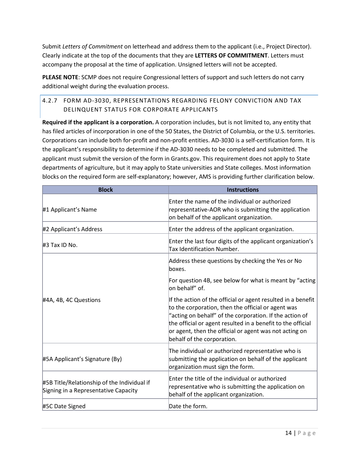Submit *Letters of Commitment* on letterhead and address them to the applicant (i.e., Project Director). Clearly indicate at the top of the documents that they are **LETTERS OF COMMITMENT**. Letters must accompany the proposal at the time of application. Unsigned letters will not be accepted.

**PLEASE NOTE**: SCMP does not require Congressional letters of support and such letters do not carry additional weight during the evaluation process.

# 4.2.7 FORM AD-3030, REPRESENTATIONS REGARDING FELONY CONVICTION AND TAX DELINQUENT STATUS FOR CORPORATE APPLICANTS

**Required if the applicant is a corporation.** A corporation includes, but is not limited to, any entity that has filed articles of incorporation in one of the 50 States, the District of Columbia, or the U.S. territories. Corporations can include both for-profit and non-profit entities. AD-3030 is a self-certification form. It is the applicant's responsibility to determine if the AD-3030 needs to be completed and submitted. The applicant must submit the version of the form in Grants.gov. This requirement does not apply to State departments of agriculture, but it may apply to State universities and State colleges. Most information blocks on the required form are self-explanatory; however, AMS is providing further clarification below.

| <b>Block</b>                                                                        | <b>Instructions</b>                                                                                                                                                                                                                                                                                                                  |
|-------------------------------------------------------------------------------------|--------------------------------------------------------------------------------------------------------------------------------------------------------------------------------------------------------------------------------------------------------------------------------------------------------------------------------------|
| #1 Applicant's Name                                                                 | Enter the name of the individual or authorized<br>representative-AOR who is submitting the application<br>on behalf of the applicant organization.                                                                                                                                                                                   |
| #2 Applicant's Address                                                              | Enter the address of the applicant organization.                                                                                                                                                                                                                                                                                     |
| #3 Tax ID No.                                                                       | Enter the last four digits of the applicant organization's<br><b>Tax Identification Number.</b>                                                                                                                                                                                                                                      |
|                                                                                     | Address these questions by checking the Yes or No<br>boxes.                                                                                                                                                                                                                                                                          |
|                                                                                     | For question 4B, see below for what is meant by "acting"<br>lon behalf" of.                                                                                                                                                                                                                                                          |
| #4A, 4B, 4C Questions<br>#5A Applicant's Signature (By)                             | If the action of the official or agent resulted in a benefit<br>to the corporation, then the official or agent was<br>"acting on behalf" of the corporation. If the action of<br>the official or agent resulted in a benefit to the official<br>or agent, then the official or agent was not acting on<br>behalf of the corporation. |
|                                                                                     | The individual or authorized representative who is<br>submitting the application on behalf of the applicant<br>organization must sign the form.                                                                                                                                                                                      |
| #5B Title/Relationship of the Individual if<br>Signing in a Representative Capacity | Enter the title of the individual or authorized<br>representative who is submitting the application on<br>behalf of the applicant organization.                                                                                                                                                                                      |
| #5C Date Signed                                                                     | Date the form.                                                                                                                                                                                                                                                                                                                       |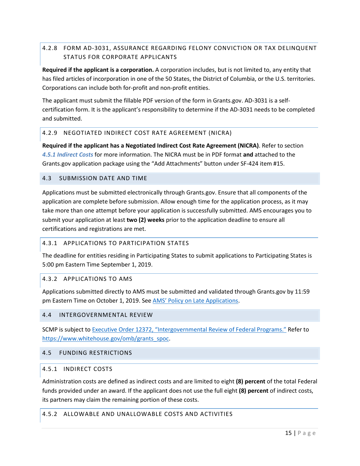# 4.2.8 FORM AD-3031, ASSURANCE REGARDING FELONY CONVICTION OR TAX DELINQUENT STATUS FOR CORPORATE APPLICANTS

**Required if the applicant is a corporation.** A corporation includes, but is not limited to, any entity that has filed articles of incorporation in one of the 50 States, the District of Columbia, or the U.S. territories. Corporations can include both for-profit and non-profit entities.

The applicant must submit the fillable PDF version of the form in Grants.gov. AD-3031 is a selfcertification form. It is the applicant's responsibility to determine if the AD-3031 needs to be completed and submitted.

## 4.2.9 NEGOTIATED INDIRECT COST RATE AGREEMENT (NICRA)

**Required if the applicant has a Negotiated Indirect Cost Rate Agreement (NICRA)**. Refer to section *[4.5.1](#page-14-3) [Indirect Costs](#page-14-3)* for more information. The NICRA must be in PDF format **and** attached to the Grants.gov application package using the "Add Attachments" button under SF-424 item #15.

## <span id="page-14-0"></span>4.3 SUBMISSION DATE AND TIME

Applications must be submitted electronically through Grants.gov. Ensure that all components of the application are complete before submission. Allow enough time for the application process, as it may take more than one attempt before your application is successfully submitted. AMS encourages you to submit your application at least **two (2) weeks** prior to the application deadline to ensure all certifications and registrations are met.

## 4.3.1 APPLICATIONS TO PARTICIPATION STATES

The deadline for entities residing in Participating States to submit applications to Participating States is 5:00 pm Eastern Time September 1, 2019.

### 4.3.2 APPLICATIONS TO AMS

Applications submitted directly to AMS must be submitted and validated through Grants.gov by 11:59 pm Eastern Time on October 1, 2019. See [AMS' Policy on Late Applications.](https://www.ams.usda.gov/sites/default/files/media/AMSPolicyonConsiderationofLateNonresponsiveApplications.pdf)

### <span id="page-14-1"></span>4.4 INTERGOVERNMENTAL REVIEW

SCMP is subject to [Executive Order 12372, "Intergovernmental Review of Federal Programs."](http://www.whitehouse.gov/omb/grants_spoc) Refer to [https://www.whitehouse.gov/omb/grants\\_spoc.](https://www.whitehouse.gov/omb/grants_spoc)

### <span id="page-14-2"></span>4.5 FUNDING RESTRICTIONS

### <span id="page-14-3"></span>4.5.1 INDIRECT COSTS

Administration costs are defined as indirect costs and are limited to eight **(8) percent** of the total Federal funds provided under an award. If the applicant does not use the full eight **(8) percent** of indirect costs, its partners may claim the remaining portion of these costs.

## 4.5.2 ALLOWABLE AND UNALLOWABLE COSTS AND ACTIVITIES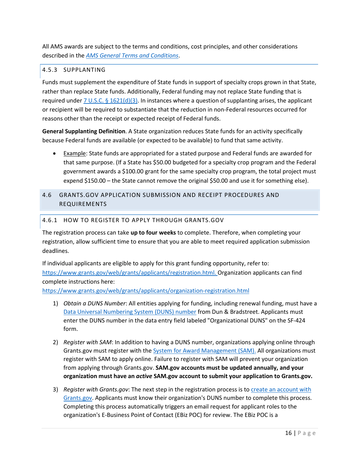All AMS awards are subject to the terms and conditions, cost principles, and other considerations described in the *[AMS General Terms and Conditions](https://www.ams.usda.gov/sites/default/files/media/AMSGrantsTermsandConditions.pdf)*.

# 4.5.3 SUPPLANTING

Funds must supplement the expenditure of State funds in support of specialty crops grown in that State, rather than replace State funds. Additionally, Federal funding may not replace State funding that is required under 7 U.S.C. § [1621\(d\)\(3\).](http://uscode.house.gov/view.xhtml?req=(title:7%20section:1621%20edition:prelim)%20OR%20(granuleid:USC-prelim-title7-section1621)&f=treesort&edition=prelim&num=0&jumpTo=true) In instances where a question of supplanting arises, the applicant or recipient will be required to substantiate that the reduction in non-Federal resources occurred for reasons other than the receipt or expected receipt of Federal funds.

**General Supplanting Definition**. A State organization reduces State funds for an activity specifically because Federal funds are available (or expected to be available) to fund that same activity.

• Example: State funds are appropriated for a stated purpose and Federal funds are awarded for that same purpose. (If a State has \$50.00 budgeted for a specialty crop program and the Federal government awards a \$100.00 grant for the same specialty crop program, the total project must expend \$150.00 – the State cannot remove the original \$50.00 and use it for something else).

# <span id="page-15-0"></span>4.6 GRANTS.GOV APPLICATION SUBMISSION AND RECEIPT PROCEDURES AND REQUIREMENTS

## 4.6.1 HOW TO REGISTER TO APPLY THROUGH GRANTS.GOV

The registration process can take **up to four weeks** to complete. Therefore, when completing your registration, allow sufficient time to ensure that you are able to meet required application submission deadlines.

If individual applicants are eligible to apply for this grant funding opportunity, refer to: [https://www.grants.gov/web/grants/applicants/registration.html.](https://www.grants.gov/web/grants/applicants/registration.html) Organization applicants can find complete instructions here:

<https://www.grants.gov/web/grants/applicants/organization-registration.html>

- 1) *Obtain a DUNS Number*: All entities applying for funding, including renewal funding, must have a [Data Universal Numbering System \(DUNS\) number](https://fedgov.dnb.com/webform) from Dun & Bradstreet. Applicants must enter the DUNS number in the data entry field labeled "Organizational DUNS" on the SF-424 form.
- 2) *Register with SAM*: In addition to having a DUNS number, organizations applying online through Grants.gov must register with th[e System for Award Management \(SAM\).](https://www.sam.gov/portal/SAM/#1) All organizations must register with SAM to apply online. Failure to register with SAM will prevent your organization from applying through Grants.gov. **SAM.gov accounts must be updated annually, and your organization must have an** *active* **SAM.gov account to submit your application to Grants.gov.**
- 3) *Register with Grants.gov*: The next step in the registration process is to [create an account with](https://www.grants.gov/web/grants/register.html)  [Grants.gov.](https://www.grants.gov/web/grants/register.html) Applicants must know their organization's DUNS number to complete this process. Completing this process automatically triggers an email request for applicant roles to the organization's E-Business Point of Contact (EBiz POC) for review. The EBiz POC is a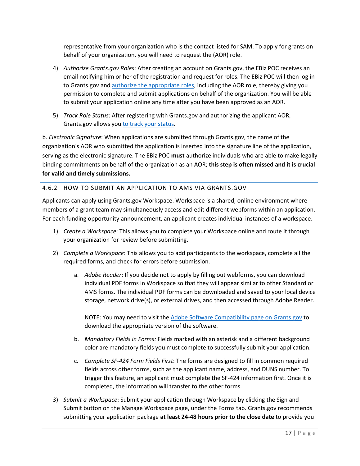representative from your organization who is the contact listed for SAM. To apply for grants on behalf of your organization, you will need to request the (AOR) role.

- 4) *Authorize Grants.gov Roles*: After creating an account on Grants.gov, the EBiz POC receives an email notifying him or her of the registration and request for roles. The EBiz POC will then log in to Grants.gov and [authorize the appropriate roles,](https://www.grants.gov/web/grants/applicants/registration/authorize-roles.html) including the AOR role, thereby giving you permission to complete and submit applications on behalf of the organization. You will be able to submit your application online any time after you have been approved as an AOR.
- 5) *Track Role Status*: After registering with Grants.gov and authorizing the applicant AOR, Grants.gov allows you [to track your status.](https://www.grants.gov/web/grants/applicants/registration/track-role-status.html)

b. *Electronic Signature*: When applications are submitted through Grants.gov, the name of the organization's AOR who submitted the application is inserted into the signature line of the application, serving as the electronic signature. The EBiz POC **must** authorize individuals who are able to make legally binding commitments on behalf of the organization as an AOR; **this step is often missed and it is crucial for valid and timely submissions.**

# 4.6.2 HOW TO SUBMIT AN APPLICATION TO AMS VIA GRANTS.GOV

Applicants can apply using Grants.gov Workspace. Workspace is a shared, online environment where members of a grant team may simultaneously access and edit different webforms within an application. For each funding opportunity announcement, an applicant creates individual instances of a workspace.

- 1) *Create a Workspace*: This allows you to complete your Workspace online and route it through your organization for review before submitting.
- 2) *Complete a Workspace*: This allows you to add participants to the workspace, complete all the required forms, and check for errors before submission.
	- a. *Adobe Reader*: If you decide not to apply by filling out webforms, you can download individual PDF forms in Workspace so that they will appear similar to other Standard or AMS forms. The individual PDF forms can be downloaded and saved to your local device storage, network drive(s), or external drives, and then accessed through Adobe Reader.

NOTE: You may need to visit the [Adobe Software Compatibility page on Grants.gov](https://www.grants.gov/web/grants/applicants/adobe-software-compatibility.html) to download the appropriate version of the software.

- b. *Mandatory Fields in Forms:* Fields marked with an asterisk and a different background color are mandatory fields you must complete to successfully submit your application.
- c. *Complete SF-424 Form Fields First*: The forms are designed to fill in common required fields across other forms, such as the applicant name, address, and DUNS number. To trigger this feature, an applicant must complete the SF-424 information first. Once it is completed, the information will transfer to the other forms.
- 3) *Submit a Workspace*: Submit your application through Workspace by clicking the Sign and Submit button on the Manage Workspace page, under the Forms tab. Grants.gov recommends submitting your application package **at least 24-48 hours prior to the close date** to provide you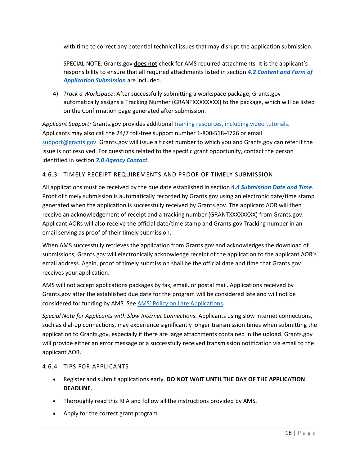with time to correct any potential technical issues that may disrupt the application submission.

SPECIAL NOTE: Grants.gov **does not** check for AMS required attachments. It is the applicant's responsibility to ensure that all required attachments listed in section *[4.2 Content and Form of](#page-9-1)  [Application Submission](#page-9-1)* are included.

4) *Track a Workspace*: After successfully submitting a workspace package, Grants.gov automatically assigns a Tracking Number (GRANTXXXXXXXX) to the package, which will be listed on the Confirmation page generated after submission.

*Applicant Support:* Grants.gov provides additiona[l training resources, including video tutorials.](https://www.grants.gov/web/grants/applicants/applicant-training.html) Applicants may also call the 24/7 toll-free support number 1-800-518-4726 or email [support@grants.gov.](mailto:support@grants.gov) Grants.gov will issue a ticket number to which you and Grants.gov can refer if the issue is not resolved. For questions related to the specific grant opportunity, contact the person identified in section *[7.0 Agency Contact](#page-21-0)*.

## 4.6.3 TIMELY RECEIPT REQUIREMENTS AND PROOF OF TIMELY SUBMISSION

All applications must be received by the due date established in section *[4.4 Submission Date and Time](#page-14-0)*. Proof of timely submission is automatically recorded by Grants.gov using an electronic date/time stamp generated when the application is successfully received by Grants.gov. The applicant AOR will then receive an acknowledgement of receipt and a tracking number (GRANTXXXXXXXX) from Grants.gov. Applicant AORs will also receive the official date/time stamp and Grants.gov Tracking number in an email serving as proof of their timely submission.

When AMS successfully retrieves the application from Grants.gov and acknowledges the download of submissions, Grants.gov will electronically acknowledge receipt of the application to the applicant AOR's email address. Again, proof of timely submission shall be the official date and time that Grants.gov receives your application.

AMS will not accept applications packages by fax, email, or postal mail. Applications received by Grants.gov after the established due date for the program will be considered late and will not be considered for funding by AMS. See [AMS' Policy on Late Applications.](https://www.ams.usda.gov/sites/default/files/media/AMSPolicyonConsiderationofLateNonresponsiveApplications.pdf)

*Special Note for Applicants with Slow Internet Connections.* Applicants using slow internet connections, such as dial-up connections, may experience significantly longer transmission times when submitting the application to Grants.gov, especially if there are large attachments contained in the upload. Grants.gov will provide either an error message or a successfully received transmission notification via email to the applicant AOR.

## 4.6.4 TIPS FOR APPLICANTS

- Register and submit applications early. **DO NOT WAIT UNTIL THE DAY OF THE APPLICATION DEADLINE**.
- Thoroughly read this RFA and follow all the instructions provided by AMS.
- Apply for the correct grant program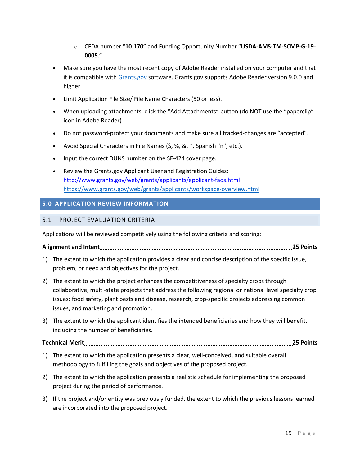- o CFDA number "**10.170**" and Funding Opportunity Number "**USDA-AMS-TM-SCMP-G-19- 0005**."
- Make sure you have the most recent copy of Adobe Reader installed on your computer and that it is compatible with [Grants.gov](http://www.grants.gov/) software. Grants.gov supports Adobe Reader version 9.0.0 and higher.
- Limit Application File Size/ File Name Characters (50 or less).
- When uploading attachments, click the "Add Attachments" button (do NOT use the "paperclip" icon in Adobe Reader)
- Do not password-protect your documents and make sure all tracked-changes are "accepted".
- Avoid Special Characters in File Names (\$, %, &, \*, Spanish "ñ", etc.).
- Input the correct DUNS number on the SF-424 cover page.
- Review the Grants.gov Applicant User and Registration Guides: <http://www.grants.gov/web/grants/applicants/applicant-faqs.html> <https://www.grants.gov/web/grants/applicants/workspace-overview.html>

# <span id="page-18-0"></span>**5.0 APPLICATION REVIEW INFORMATION**

## <span id="page-18-1"></span>5.1 PROJECT EVALUATION CRITERIA

Applications will be reviewed competitively using the following criteria and scoring:

# **Alignment and Intent 25 Points**

- 1) The extent to which the application provides a clear and concise description of the specific issue, problem, or need and objectives for the project.
- 2) The extent to which the project enhances the competitiveness of specialty crops through collaborative, multi-state projects that address the following regional or national level specialty crop issues: food safety, plant pests and disease, research, crop-specific projects addressing common issues, and marketing and promotion.
- 3) The extent to which the applicant identifies the intended beneficiaries and how they will benefit, including the number of beneficiaries.

# **Technical Merit 25 Points**

- 1) The extent to which the application presents a clear, well-conceived, and suitable overall methodology to fulfilling the goals and objectives of the proposed project.
- 2) The extent to which the application presents a realistic schedule for implementing the proposed project during the period of performance.
- 3) If the project and/or entity was previously funded, the extent to which the previous lessons learned are incorporated into the proposed project.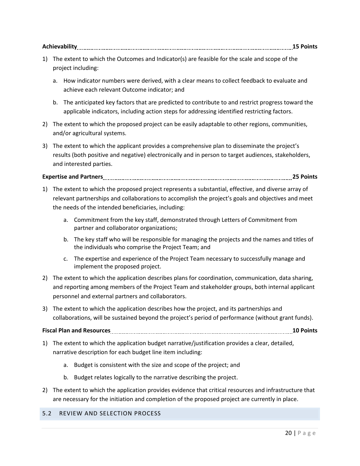| <b>Achievabilit</b> |  |
|---------------------|--|
|---------------------|--|

- 1) The extent to which the Outcomes and Indicator(s) are feasible for the scale and scope of the project including:
	- a. How indicator numbers were derived, with a clear means to collect feedback to evaluate and achieve each relevant Outcome indicator; and
	- b. The anticipated key factors that are predicted to contribute to and restrict progress toward the applicable indicators, including action steps for addressing identified restricting factors.
- 2) The extent to which the proposed project can be easily adaptable to other regions, communities, and/or agricultural systems.
- 3) The extent to which the applicant provides a comprehensive plan to disseminate the project's results (both positive and negative) electronically and in person to target audiences, stakeholders, and interested parties.

# **Expertise and Partners 25 Points**

- 1) The extent to which the proposed project represents a substantial, effective, and diverse array of relevant partnerships and collaborations to accomplish the project's goals and objectives and meet the needs of the intended beneficiaries, including:
	- a. Commitment from the key staff, demonstrated through Letters of Commitment from partner and collaborator organizations;
	- b. The key staff who will be responsible for managing the projects and the names and titles of the individuals who comprise the Project Team; and
	- c. The expertise and experience of the Project Team necessary to successfully manage and implement the proposed project.
- 2) The extent to which the application describes plans for coordination, communication, data sharing, and reporting among members of the Project Team and stakeholder groups, both internal applicant personnel and external partners and collaborators.
- 3) The extent to which the application describes how the project, and its partnerships and collaborations, will be sustained beyond the project's period of performance (without grant funds).

## **Fiscal Plan and Resources 10 Points**

- 1) The extent to which the application budget narrative/justification provides a clear, detailed, narrative description for each budget line item including:
	- a. Budget is consistent with the size and scope of the project; and
	- b. Budget relates logically to the narrative describing the project.
- 2) The extent to which the application provides evidence that critical resources and infrastructure that are necessary for the initiation and completion of the proposed project are currently in place.

## <span id="page-19-0"></span>5.2 REVIEW AND SELECTION PROCESS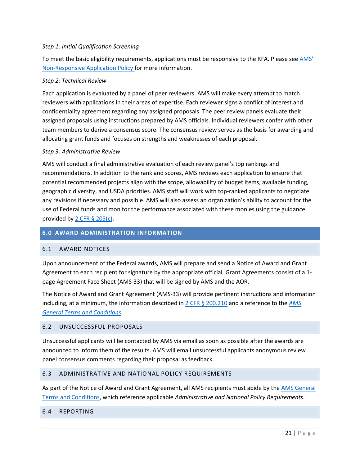### *Step 1: Initial Qualification Screening*

To meet the basic eligibility requirements, applications must be responsive to the RFA. Please see AMS' [Non-Responsive Application Policy f](https://www.ams.usda.gov/sites/default/files/media/AMSPolicyonConsiderationofLateNonresponsiveApplications.pdf)or more information.

#### *Step 2: Technical Review*

Each application is evaluated by a panel of peer reviewers. AMS will make every attempt to match reviewers with applications in their areas of expertise. Each reviewer signs a conflict of interest and confidentiality agreement regarding any assigned proposals. The peer review panels evaluate their assigned proposals using instructions prepared by AMS officials. Individual reviewers confer with other team members to derive a consensus score. The consensus review serves as the basis for awarding and allocating grant funds and focuses on strengths and weaknesses of each proposal.

#### *Step 3: Administrative Review*

AMS will conduct a final administrative evaluation of each review panel's top rankings and recommendations. In addition to the rank and scores, AMS reviews each application to ensure that potential recommended projects align with the scope, allowability of budget items, available funding, geographic diversity, and USDA priorities. AMS staff will work with top-ranked applicants to negotiate any revisions if necessary and possible. AMS will also assess an organization's ability to account for the use of Federal funds and monitor the performance associated with these monies using the guidance provided by 2 CFR  $\S$  205(c).

## <span id="page-20-0"></span>**6.0 AWARD ADMINISTRATION INFORMATION**

### <span id="page-20-1"></span>6.1 AWARD NOTICES

Upon announcement of the Federal awards, AMS will prepare and send a Notice of Award and Grant Agreement to each recipient for signature by the appropriate official. Grant Agreements consist of a 1 page Agreement Face Sheet (AMS-33) that will be signed by AMS and the AOR.

The Notice of Award and Grant Agreement (AMS-33) will provide pertinent instructions and information including, at a minimum, the information described in 2 CFR § [200.210](https://www.ecfr.gov/cgi-bin/text-idx?SID=70b44cfc44976f4a7742464f7cfbb37e&mc=true&node=se2.1.200_1210&rgn=div8) and a reference to the *[AMS](https://www.ams.usda.gov/sites/default/files/media/AMSGrantsTermsandConditions.pdf)  [General Terms and Conditions](https://www.ams.usda.gov/sites/default/files/media/AMSGrantsTermsandConditions.pdf)*.

## <span id="page-20-2"></span>6.2 UNSUCCESSFUL PROPOSALS

Unsuccessful applicants will be contacted by AMS via email as soon as possible after the awards are announced to inform them of the results. AMS will email unsuccessful applicants anonymous review panel consensus comments regarding their proposal as feedback.

#### <span id="page-20-3"></span>6.3 ADMINISTRATIVE AND NATIONAL POLICY REQUIREMENTS

As part of the Notice of Award and Grant Agreement, all AMS recipients must abide by the AMS General [Terms and Conditions,](https://www.ams.usda.gov/sites/default/files/media/AMSGrantsTermsandConditions.pdf) which reference applicable *Administrative and National Policy Requirements*.

### <span id="page-20-4"></span>6.4 REPORTING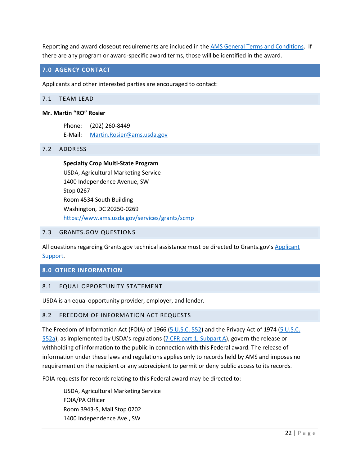Reporting and award closeout requirements are included in the [AMS General Terms and Conditions.](https://www.ams.usda.gov/sites/default/files/media/AMSGrantsTermsandConditions.pdf) If there are any program or award-specific award terms, those will be identified in the award.

## <span id="page-21-0"></span>**7.0 AGENCY CONTACT**

Applicants and other interested parties are encouraged to contact:

#### <span id="page-21-1"></span>7.1 TEAM LEAD

#### **Mr. Martin "RO" Rosier**

Phone: (202) 260-8449 E-Mail: [Martin.Rosier@ams.usda.gov](mailto:Martin.Rosier@ams.usda.gov)

#### <span id="page-21-2"></span>7.2 ADDRESS

**Specialty Crop Multi-State Program** USDA, Agricultural Marketing Service 1400 Independence Avenue, SW Stop 0267 Room 4534 South Building Washington, DC 20250-0269 <https://www.ams.usda.gov/services/grants/scmp>

#### <span id="page-21-3"></span>7.3 GRANTS.GOV QUESTIONS

All questions regarding Grants.gov technical assistance must be directed to Grants.gov's Applicant [Support.](http://www.grants.gov/web/grants/support.html)

### <span id="page-21-4"></span>**8.0 OTHER INFORMATION**

### <span id="page-21-5"></span>8.1 EQUAL OPPORTUNITY STATEMENT

USDA is an equal opportunity provider, employer, and lender.

### <span id="page-21-6"></span>8.2 FREEDOM OF INFORMATION ACT REQUESTS

The Freedom of Information Act (FOIA) of 1966 [\(5 U.S.C. 552\)](http://www.foia.gov/) and the Privacy Act of 1974 (5 U.S.C. [552a\)](http://www.justice.gov/opcl/privstat.htm), as implemented by USDA's regulations [\(7 CFR part 1, Subpart A\)](http://www.ecfr.gov/cgi-bin/text-idx?SID=cd2e221e18c58a2489413496f0129287&mc=true&node=pt7.1.1&rgn=div5#sp7.1.1.a), govern the release or withholding of information to the public in connection with this Federal award. The release of information under these laws and regulations applies only to records held by AMS and imposes no requirement on the recipient or any subrecipient to permit or deny public access to its records.

FOIA requests for records relating to this Federal award may be directed to:

USDA, Agricultural Marketing Service FOIA/PA Officer Room 3943-S, Mail Stop 0202 1400 Independence Ave., SW